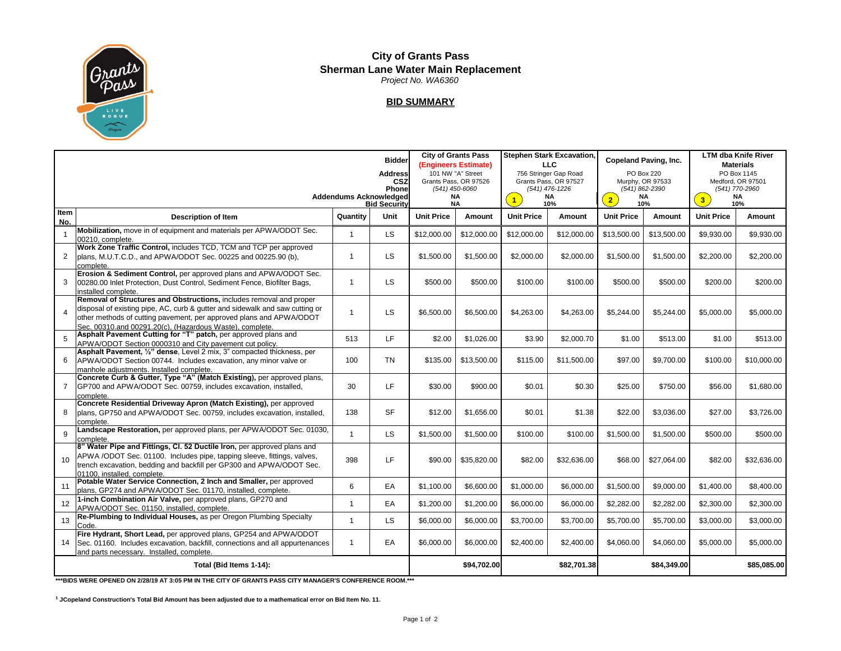

## **City of Grants Pass Sherman Lane Water Main Replacement**  *Project No. WA6360*

## **BID SUMMARY**

|                         | <b>Bidder</b><br><b>Address</b><br>CSZ<br>Phone<br><b>Addendums Acknowledged</b><br><b>Bid Security</b>                                                                                                                                                                                |              | <b>City of Grants Pass</b><br>(Engineers Estimate)<br>101 NW "A" Street<br>Grants Pass, OR 97526<br>(541) 450-6060<br>NA<br><b>NA</b> |                   | <b>Stephen Stark Excavation.</b><br><b>LLC</b><br>756 Stringer Gap Road<br>Grants Pass, OR 97527<br>$(541)$ 476-1226<br>NA<br>$\overline{1}$<br>10% |                   | <b>Copeland Paving, Inc.</b><br>PO Box 220<br>Murphy, OR 97533<br>(541) 862-2390<br>NA<br>$\overline{2}$<br>10% |                   | <b>LTM dba Knife River</b><br><b>Materials</b><br>PO Box 1145<br>Medford, OR 97501<br>(541) 770-2960<br><b>NA</b><br>3 <sup>°</sup><br>10% |                   |             |
|-------------------------|----------------------------------------------------------------------------------------------------------------------------------------------------------------------------------------------------------------------------------------------------------------------------------------|--------------|---------------------------------------------------------------------------------------------------------------------------------------|-------------------|-----------------------------------------------------------------------------------------------------------------------------------------------------|-------------------|-----------------------------------------------------------------------------------------------------------------|-------------------|--------------------------------------------------------------------------------------------------------------------------------------------|-------------------|-------------|
| Item<br>No.             | <b>Description of Item</b>                                                                                                                                                                                                                                                             | Quantity     | Unit                                                                                                                                  | <b>Unit Price</b> | Amount                                                                                                                                              | <b>Unit Price</b> | Amount                                                                                                          | <b>Unit Price</b> | <b>Amount</b>                                                                                                                              | <b>Unit Price</b> | Amount      |
|                         | Mobilization, move in of equipment and materials per APWA/ODOT Sec.<br>00210, complete.                                                                                                                                                                                                | 1            | <b>LS</b>                                                                                                                             | \$12,000.00       | \$12,000.00                                                                                                                                         | \$12,000.00       | \$12,000.00                                                                                                     | \$13,500.00       | \$13,500.00                                                                                                                                | \$9,930.00        | \$9,930.00  |
| 2                       | Work Zone Traffic Control, includes TCD, TCM and TCP per approved<br>plans, M.U.T.C.D., and APWA/ODOT Sec. 00225 and 00225.90 (b),<br>complete.                                                                                                                                        | $\mathbf{1}$ | <b>LS</b>                                                                                                                             | \$1,500.00        | \$1,500.00                                                                                                                                          | \$2,000.00        | \$2,000.00                                                                                                      | \$1,500.00        | \$1,500.00                                                                                                                                 | \$2,200.00        | \$2,200.00  |
| 3                       | Erosion & Sediment Control, per approved plans and APWA/ODOT Sec.<br>00280.00 Inlet Protection, Dust Control, Sediment Fence, Biofilter Bags,<br>installed complete.                                                                                                                   | $\mathbf{1}$ | LS.                                                                                                                                   | \$500.00          | \$500.00                                                                                                                                            | \$100.00          | \$100.00                                                                                                        | \$500.00          | \$500.00                                                                                                                                   | \$200.00          | \$200.00    |
| $\overline{4}$          | Removal of Structures and Obstructions, includes removal and proper<br>disposal of existing pipe, AC, curb & gutter and sidewalk and saw cutting or<br>other methods of cutting pavement, per approved plans and APWA/ODOT<br>Sec. 00310.and 00291.20(c). (Hazardous Waste), complete. | $\mathbf{1}$ | <b>LS</b>                                                                                                                             | \$6,500.00        | \$6,500.00                                                                                                                                          | \$4,263.00        | \$4,263.00                                                                                                      | \$5,244.00        | \$5,244.00                                                                                                                                 | \$5,000.00        | \$5,000.00  |
| 5                       | Asphalt Pavement Cutting for "T" patch, per approved plans and<br>APWA/ODOT Section 0000310 and City pavement cut policy.                                                                                                                                                              | 513          | LF.                                                                                                                                   | \$2.00            | \$1,026.00                                                                                                                                          | \$3.90            | \$2,000.70                                                                                                      | \$1.00            | \$513.00                                                                                                                                   | \$1.00            | \$513.00    |
| 6                       | Asphalt Pavement, 1/2" dense, Level 2 mix, 3" compacted thickness, per<br>APWA/ODOT Section 00744. Includes excavation, any minor valve or<br>manhole adiustments. Installed complete.                                                                                                 | 100          | <b>TN</b>                                                                                                                             | \$135.00          | \$13,500.00                                                                                                                                         | \$115.00          | \$11,500.00                                                                                                     | \$97.00           | \$9,700.00                                                                                                                                 | \$100.00          | \$10,000.00 |
| $\overline{7}$          | Concrete Curb & Gutter, Type "A" (Match Existing), per approved plans,<br>GP700 and APWA/ODOT Sec. 00759, includes excavation, installed,<br>complete.                                                                                                                                 | 30           | LF.                                                                                                                                   | \$30.00           | \$900.00                                                                                                                                            | \$0.01            | \$0.30                                                                                                          | \$25.00           | \$750.00                                                                                                                                   | \$56.00           | \$1,680.00  |
| 8                       | Concrete Residential Driveway Apron (Match Existing), per approved<br>plans, GP750 and APWA/ODOT Sec. 00759, includes excavation, installed,<br>complete.                                                                                                                              | 138          | <b>SF</b>                                                                                                                             | \$12.00           | \$1,656.00                                                                                                                                          | \$0.01            | \$1.38                                                                                                          | \$22.00           | \$3,036.00                                                                                                                                 | \$27.00           | \$3,726.00  |
| 9                       | Landscape Restoration, per approved plans, per APWA/ODOT Sec. 01030,<br>complete.                                                                                                                                                                                                      | $\mathbf{1}$ | LS.                                                                                                                                   | \$1,500.00        | \$1,500.00                                                                                                                                          | \$100.00          | \$100.00                                                                                                        | \$1.500.00        | \$1,500.00                                                                                                                                 | \$500.00          | \$500.00    |
| 10                      | 8" Water Pipe and Fittings, CI. 52 Ductile Iron, per approved plans and<br>APWA /ODOT Sec. 01100. Includes pipe, tapping sleeve, fittings, valves,<br>trench excavation, bedding and backfill per GP300 and APWA/ODOT Sec.<br>01100. installed. complete.                              | 398          | LF.                                                                                                                                   | \$90.00           | \$35,820.00                                                                                                                                         | \$82.00           | \$32,636.00                                                                                                     | \$68.00           | \$27,064.00                                                                                                                                | \$82.00           | \$32,636.00 |
| 11                      | Potable Water Service Connection, 2 Inch and Smaller, per approved<br>plans, GP274 and APWA/ODOT Sec. 01170, installed, complete.                                                                                                                                                      | 6            | EA                                                                                                                                    | \$1,100.00        | \$6,600.00                                                                                                                                          | \$1,000.00        | \$6,000.00                                                                                                      | \$1,500.00        | \$9,000.00                                                                                                                                 | \$1,400.00        | \$8,400.00  |
| 12                      | 1-inch Combination Air Valve, per approved plans, GP270 and<br>APWA/ODOT Sec. 01150, installed, complete.                                                                                                                                                                              | 1            | EA                                                                                                                                    | \$1,200.00        | \$1,200.00                                                                                                                                          | \$6,000.00        | \$6,000.00                                                                                                      | \$2,282.00        | \$2,282.00                                                                                                                                 | \$2,300.00        | \$2,300.00  |
| 13                      | Re-Plumbing to Individual Houses, as per Oregon Plumbing Specialty<br>Code.                                                                                                                                                                                                            | 1            | LS.                                                                                                                                   | \$6,000.00        | \$6,000.00                                                                                                                                          | \$3,700.00        | \$3,700.00                                                                                                      | \$5,700.00        | \$5,700.00                                                                                                                                 | \$3,000.00        | \$3,000.00  |
|                         | Fire Hydrant, Short Lead, per approved plans, GP254 and APWA/ODOT<br>14 Sec. 01160. Includes excavation, backfill, connections and all appurtenances<br>and parts necessary. Installed, complete.                                                                                      | $\mathbf{1}$ | EA                                                                                                                                    | \$6,000.00        | \$6,000.00                                                                                                                                          | \$2,400.00        | \$2,400.00                                                                                                      | \$4,060.00        | \$4,060.00                                                                                                                                 | \$5,000.00        | \$5,000.00  |
| Total (Bid Items 1-14): |                                                                                                                                                                                                                                                                                        |              |                                                                                                                                       |                   | \$94,702.00                                                                                                                                         |                   | \$82,701.38                                                                                                     |                   | \$84,349.00                                                                                                                                |                   | \$85,085.00 |

**\*\*\*BIDS WERE OPENED ON 2/28/19 AT 3:05 PM IN THE CITY OF GRANTS PASS CITY MANAGER'S CONFERENCE ROOM.\*\*\***

**¹ JCopeland Construction's Total Bid Amount has been adjusted due to a mathematical error on Bid Item No. 11.**